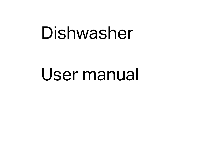# Dishwasher

## User manual